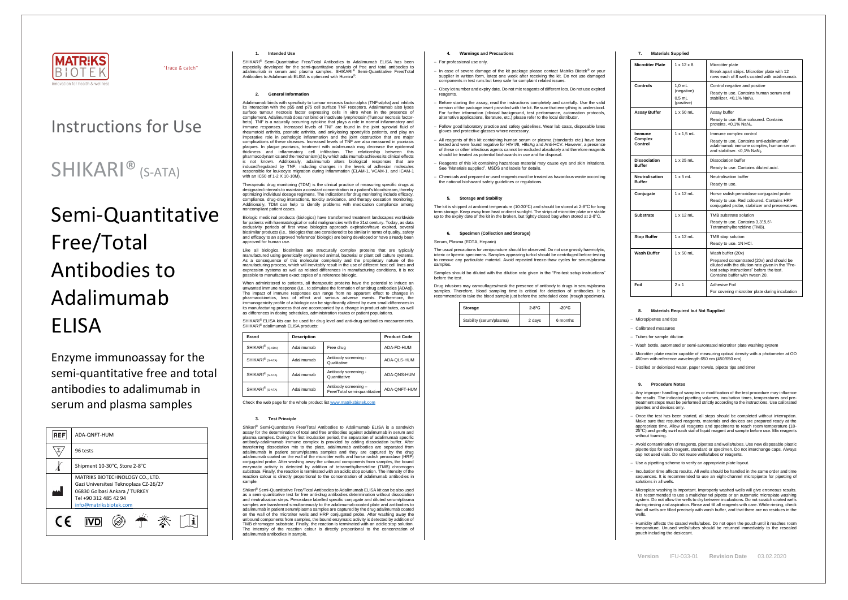

"trace & catch"

**Version** IFU-033-01 **Revision Date** 03.02.2020

# Instructions for Use

## SHIKARI® (S-ATA)

# Semi-Quantitative Free/Total Antibodies to Adalimumab ELISA

Enzyme immunoassay for the semi-quantitative free and total antibodies to adalimumab in serum and plasma samples

| <b>REF</b> | ADA-ONFT-HUM                                                                                                                                                 |  |  |
|------------|--------------------------------------------------------------------------------------------------------------------------------------------------------------|--|--|
|            | 96 tests                                                                                                                                                     |  |  |
|            | Shipment 10-30°C, Store 2-8°C                                                                                                                                |  |  |
|            | MATRIKS BIOTECHNOLOGY CO., LTD.<br>Gazi Universitesi Teknoplaza CZ-26/27<br>06830 Golbasi Ankara / TURKEY<br>Tel +90 312 485 42 94<br>info@matriksbiotek.com |  |  |
| $\epsilon$ |                                                                                                                                                              |  |  |

#### **1. Intended Use**

SHIKARI® Semi-Quantitative Free/Total Antibodies to Adalimumab ELISA has been especially developed for the semi-quantitative analysis of free and total antibodies to adalimumab in serum and plasma samples. SHIKARI® Semi-Quantitative Free/Total Antibodies to Adalimumab ELISA is optimized with Humira® .

#### **2. General Information**

Adalimumab binds with specificity to tumour necrosis factor-alpha (TNF-alpha) and inhibits its interaction with the p55 and p75 cell surface TNF receptors. Adalimumab also lyses surface tumour necrosis factor expressing cells in vitro when in the presence of complement. Adalimumab does not bind or inactivate lymphotoxin (Tumour necrosis factorbeta). TNF is a naturally occurring cytokine that plays a role in normal inflammatory and immune responses. Increased levels of TNF are found in the joint synovial fluid of rheumatoid arthritis, psoriatic arthritis, and ankylosing spondylitis patients, and play an imperative role in pathologic inflammation and the joint destruction that are major complications of these diseases. Increased levels of TNF are also measured in psoriasis plaques. In plaque psoriasis, treatment with adalimumab may decrease the epidermal thickness and inflammatory cell infiltration. The relationship between thickness pharmacodynamics and the mechanism(s) by which adalimumab achieves its clinical effects is not known. Additionally, adalimumab alters biological responses that are induced/regulated by TNF, including changes in the levels of adhesion molecules responsible for leukocyte migration during inflammation (ELAM-1, VCAM-1, and ICAM-1 with an IC50 of 1-2 X 10-10M).

SHIKARI<sup>®</sup> ELISA kits can be used for drug level and anti-drug antibodies measurements. SHIKARI® adalimumab ELISA products:

Therapeutic drug monitoring (TDM) is the clinical practice of measuring specific drugs at designated intervals to maintain a constant concentration in a patient's bloodstream, thereby optimizing individual dosage regimens. The indications for drug monitoring include efficacy, compliance, drug-drug interactions, toxicity avoidance, and therapy cessation monitoring. Additionally, TDM can help to identify problems with medication compliance among noncompliant patient cases.

Biologic medicinal products (biologics) have transformed treatment landscapes worldwide for patients with haematological or solid malignancies with the 21st century. Today, as data exclusivity periods of first wave biologics approach expiration/have expired, several biosimilar products (i.e., biologics that are considered to be similar in terms of quality, safety and efficacy to an approved 'reference' biologic) are being developed or have already been approved for human use.

Like all biologics, biosimilars are structurally complex proteins that are typically manufactured using genetically engineered animal, bacterial or plant cell culture systems. As a consequence of this molecular complexity and the proprietary nature of the manufacturing process, which will inevitably result in the use of different host cell lines and expression systems as well as related differences in manufacturing conditions, it is not possible to manufacture exact copies of a reference biologic.

When administered to patients, all therapeutic proteins have the potential to induce an unwanted immune response (i.e., to stimulate the formation of antidrug antibodies [ADAs]). The impact of immune responses can range from no apparent effect to changes in pharmacokinetics, loss of effect and serious adverse events. Furthermore, the immunogenicity profile of a biologic can be significantly altered by even small differences in its manufacturing process that are accompanied by a change in product attributes, as well as differences in dosing schedules, administration routes or patient populations.

The usual precautions for venipuncture should be observed. Do not use grossly haemolytic, icteric or lipemic specimens. Samples appearing turbid should be centrifuged before testing to remove any particulate material. Avoid repeated freeze-thaw cycles for serum/plasma samples

| <b>Brand</b>                 | <b>Description</b> |                                                      | <b>Product Code</b> |
|------------------------------|--------------------|------------------------------------------------------|---------------------|
| SHIKARI <sup>®</sup> (Q-ADA) | Adalimumab         | Free drug                                            | ADA-FD-HUM          |
| SHIKARI <sup>®</sup> (S-ATA) | Adalimumab         | Antibody screening -<br>Qualitative                  | ADA-QLS-HUM         |
| SHIKARI <sup>®</sup> (S-ATA) | Adalimumab         | Antibody screening -<br>Quantitative                 | ADA-QNS-HUM         |
| SHIKARI <sup>®</sup> (S-ATA) | Adalimumab         | Antibody screening -<br>Free/Total semi-quantitative | ADA-QNFT-HUM        |

Check the web page for the whole product lis[t www.matriksbiotek.com](http://www.matriksbiotek.com/)

#### **3. Test Principle**

Shikari® Semi-Quantitative Free/Total Antibodies to Adalimumab ELISA is a sandwich assay for the determination of total and free antibodies against adalimumab in serum and plasma samples. During the first incubation period, the separation of adalimumab specific antibody-adalimumab immune complex is provided by adding dissociation buffer. After transferring dissociation mix to the plate, adalimumab antibodies are separated from adalimumab in patient serum/plasma samples and they are captured by the drug adalimumab coated on the wall of the microtiter wells and horse radish peroxidase (HRP) conjugated probe. After washing away the unbound components from samples, the bound enzymatic activity is detected by addition of tetramethylbenzidine (TMB) chromogen substrate. Finally, the reaction is terminated with an acidic stop solution. The intensity of the reaction colour is directly proportional to the concentration of adalimumab antibodies in sample.

− Incubation time affects results. All wells should be handled in the same order and time sequences. It is recommended to use an eight-channel micropipette for pipetting of solutions in all wells.

Shikari® Semi-Quantitative Free/Total Antibodies to Adalimumab ELISA kit can be also used as a semi-quantitative test for free anti-drug antibodies determination without dissociation and neutralization steps. Peroxidase labelled specific conjugate and diluted serum/plasma samples are transferred simultaneously to the adalimumab-coated plate and antibodies to adalimumab in patient serum/plasma samples are captured by the drug adalimumab coated on the wall of the microtiter wells and HRP conjugated probe. After washing away the unbound components from samples, the bound enzymatic activity is detected by addition of TMB chromogen substrate. Finally, the reaction is terminated with an acidic stop solution. The intensity of the reaction colour is directly proportional to the concentration of adalimumab antibodies in sample.

#### **4. Warnings and Precautions**

#### − For professional use only.

- − In case of severe damage of the kit package please contact Matriks Biotek® or your supplier in written form, latest one week after receiving the kit. Do not use damaged components in test runs but keep safe for complaint related issues.
- Obey lot number and expiry date. Do not mix reagents of different lots. Do not use expired reagents.
- Before starting the assay, read the instructions completely and carefully. Use the valid version of the package insert provided with the kit. Be sure that everything is understood. For further information (clinical background, test performance, automation protocols, alternative applications, literature, etc.) please refer to the local distributor.
- − Follow good laboratory practice and safety guidelines. Wear lab coats, disposable latex gloves and protective glasses where necessary.
- All reagents of this kit containing human serum or plasma (standards etc.) have been tested and were found negative for HIV I/II, HBsAg and Anti-HCV. However, a presence of these or other infectious agents cannot be excluded absolutely and therefore reagents should be treated as potential biohazards in use and for disposal.
- − Reagents of this kit containing hazardous material may cause eye and skin irritations. See "Materials supplied", MSDS and labels for details.
- − Chemicals and prepared or used reagents must be treated as hazardous waste according the national biohazard safety guidelines or regulations.

#### **5. Storage and Stability**

The kit is shipped at ambient temperature (10-30°C) and should be stored at 2-8°C for long n storage. Keep away from heat or direct sunlight. The strips of microtiter plate are stable up to the expiry date of the kit in the broken, but tightly closed bag when stored at 2-8°C.

#### **6. Specimen (Collection and Storage)**

#### Serum, Plasma (EDTA, Heparin)

Samples should be diluted with the dilution rate given in the "Pre-test setup instructions" before the test.

Drug infusions may camouflages/mask the presence of antibody to drugs in serum/plasma samples. Therefore, blood sampling time is critical for detection of antibodies. It is recommended to take the blood sample just before the scheduled dose (trough specimen).

| Storage                  | $2-8$ °C | $-20^{\circ}$ C |
|--------------------------|----------|-----------------|
| Stability (serum/plasma) | 2 days   | 6 months        |

#### **7. Materials Supplied**

| <b>Microtiter Plate</b>              | $1 \times 12 \times 8$                           | Microtiter plate<br>Break apart strips. Microtiter plate with 12<br>rows each of 8 wells coated with adalimumab.                                                                                   |
|--------------------------------------|--------------------------------------------------|----------------------------------------------------------------------------------------------------------------------------------------------------------------------------------------------------|
| Controls                             | $1.0$ mL<br>(negative)<br>$0.5$ mL<br>(positive) | Control negative and positive<br>Ready to use. Contains human serum and<br>stabilizer. < 0.1% NaN <sub>3</sub> .                                                                                   |
| <b>Assay Buffer</b>                  | $1 \times 50$ mL                                 | Assay buffer<br>Ready to use. Blue coloured. Contains<br>proteins, <0,1% NaN <sub>3</sub> .                                                                                                        |
| Immune<br>Complex<br>Control         | $1 \times 1.5$ mL                                | Immune complex control<br>Ready to use. Contains anti-adalimumab/<br>adalimumab immune complex, human serum<br>and stabiliser. < 0,1% NaN <sub>3</sub> .                                           |
| <b>Dissociation</b><br><b>Buffer</b> | $1 \times 25$ mL                                 | Dissociation buffer<br>Ready to use. Contains diluted acid.                                                                                                                                        |
| Neutralisation<br><b>Buffer</b>      | $1 \times 5$ mL                                  | Neutralisation buffer<br>Ready to use.                                                                                                                                                             |
| Conjugate                            | $1 \times 12$ mL                                 | Horse radish peroxidase conjugated probe<br>Ready to use. Red coloured. Contains HRP<br>conjugated probe, stabilizer and preservatives.                                                            |
| Substrate                            | $1 \times 12$ mL                                 | TMB substrate solution<br>Ready to use. Contains 3,3',5,5'-<br>Tetramethylbenzidine (TMB).                                                                                                         |
| <b>Stop Buffer</b>                   | $1 \times 12$ mL                                 | TMB stop solution<br>Ready to use. 1N HCl.                                                                                                                                                         |
| Wash Buffer                          | $1 \times 50$ mL                                 | Wash buffer (20x)<br>Prepared concentrated (20x) and should be<br>diluted with the dilution rate given in the "Pre-<br>test setup instructions" before the test.<br>Contains buffer with tween 20. |
| Foil                                 | 2x1                                              | Adhesive Foil<br>For covering microtiter plate during incubation                                                                                                                                   |

#### **8. Materials Required but Not Supplied**

− Micropipettes and tips

− Calibrated measures

− Tubes for sample dilution

− Wash bottle, automated or semi-automated microtiter plate washing system

− Microtiter plate reader capable of measuring optical density with a photometer at OD 450nm with reference wavelength 650 nm (450/650 nm)

− Distilled or deionised water, paper towels, pipette tips and timer

#### **9. Procedure Notes**

− Any improper handling of samples or modification of the test procedure may influence the results. The indicated pipetting volumes, incubation times, temperatures and pretreatment steps must be performed strictly according to the instructions. Use calibrated pipettes and devices only.

Once the test has been started, all steps should be completed without interruption. Make sure that required reagents, materials and devices are prepared ready at the appropriate time. Allow all reagents and specimens to reach room temperature (18- 25°C) and gently swirl each vial of liquid reagent and sample before use. Mix reagents without foaming.

− Avoid contamination of reagents, pipettes and wells/tubes. Use new disposable plastic pipette tips for each reagent, standard or specimen. Do not interchange caps. Always cap not used vials. Do not reuse wells/tubes or reagents.

− Use a pipetting scheme to verify an appropriate plate layout.

− Microplate washing is important. Improperly washed wells will give erroneous results. It is recommended to use a multichannel pipette or an automatic microplate washing system. Do not allow the wells to dry between incubations. Do not scratch coated wells during rinsing and aspiration. Rinse and fill all reagents with care. While rinsing, check that all wells are filled precisely with wash buffer, and that there are no residues in the wells.

− Humidity affects the coated wells/tubes. Do not open the pouch until it reaches room temperature. Unused wells/tubes should be returned immediately to the resealed pouch including the desiccant.